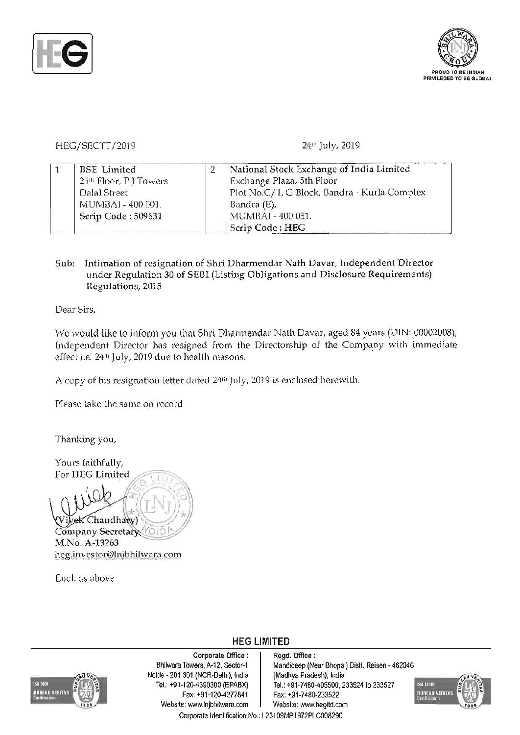



## HEG/SECIT/2019 24th July, 2019

|  | <b>BSE</b> Limited    | National Stock Exchange of India Limited     |
|--|-----------------------|----------------------------------------------|
|  | 25th Floor, PJ Towers | Exchange Plaza, 5th Floor                    |
|  | Dalal Street          | Plot No.C/1, G Block, Bandra - Kurla Complex |
|  | MUMBAI - 400 001.     | Bandra (E),                                  |
|  | Scrip Code: 509631    | MUMBAI - 400 051.                            |
|  |                       | Scrip Code: HEG                              |

## Sub: Intimation of resignation of Shri Dharmendar Nath Davar, Independent Director under Regulation 30 of SEBI (Listing Obligations and Disclosure Requirements) Regulations, 2015

Dear Sirs,

We would like to inform you that Shri Dharmendar Nath Davar, aged 84 years (DIN: 00002008), Independent Director has resigned from the Directorship of the Company with immediate effect i.e. 24<sup>th</sup> July, 2019 due to health reasons.

HEG LIMITED

A copy of his resignation letter dated 24<sup>th</sup> July, 2019 is enclosed herewith.

Please take the same on record

Thanking you,

Yours faithfully, For HEG Limited

ek Chaudhary) Company Secretary M.No. A-13263 heg.investor@lnjbhilwara.com

Encl. as above



Corporate Office : | Regd. Office : Noida - 201 301 (NCR-Delhi), india (Madhya Pradesh), India Tel.: +91-120-4390300 (EPABX) Tel.: +91-7480-405500, 2 Fax: +91-120-4277841 Fax: +91-7480-233522 Website: www.lnjbhilwara.com | Website: www.hegltd.com Corporate Identification No. L23109MP1972PLC008290

Bhilwara Towers, A-12, Sector-1 | Mandideep (Near Bhopal) Distl. Raisen - 462046 Tel.: +91-7480-405500, 233524 to 233527